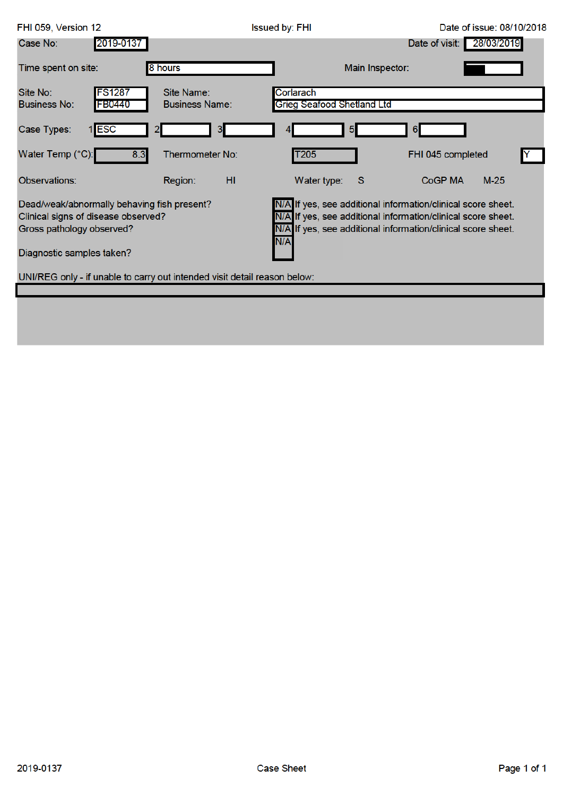| FHI 059, Version 12                                                                                                                                                                                                       |                                     | <b>Issued by: FHI</b>                                                                                                                                                                               | Date of issue: 08/10/2018    |
|---------------------------------------------------------------------------------------------------------------------------------------------------------------------------------------------------------------------------|-------------------------------------|-----------------------------------------------------------------------------------------------------------------------------------------------------------------------------------------------------|------------------------------|
| Case No:<br>2019-0137                                                                                                                                                                                                     |                                     |                                                                                                                                                                                                     | 28/03/2019<br>Date of visit: |
| Time spent on site:                                                                                                                                                                                                       | 8 hours                             | Main Inspector:                                                                                                                                                                                     |                              |
| <b>FS1287</b><br>Site No:<br><b>Business No:</b><br><b>FB0440</b>                                                                                                                                                         | Site Name:<br><b>Business Name:</b> | Corlarach<br>Grieg Seafood Shetland Ltd                                                                                                                                                             |                              |
| 1 ESC<br>Case Types:                                                                                                                                                                                                      | 3.<br>2                             | 5                                                                                                                                                                                                   | 6                            |
| Water Temp (°C):<br>8.3                                                                                                                                                                                                   | Thermometer No:                     | T <sub>205</sub>                                                                                                                                                                                    | FHI 045 completed            |
| Observations:                                                                                                                                                                                                             | HI.<br>Region:                      | Water type:<br>-S                                                                                                                                                                                   | <b>CoGP MA</b><br>$M-25$     |
| Dead/weak/abnormally behaving fish present?<br>Clinical signs of disease observed?<br>Gross pathology observed?<br>Diagnostic samples taken?<br>UNI/REG only - if unable to carry out intended visit detail reason below: |                                     | N/A If yes, see additional information/clinical score sheet.<br>N/A If yes, see additional information/clinical score sheet.<br>N/A If yes, see additional information/clinical score sheet.<br>N/A |                              |
|                                                                                                                                                                                                                           |                                     |                                                                                                                                                                                                     |                              |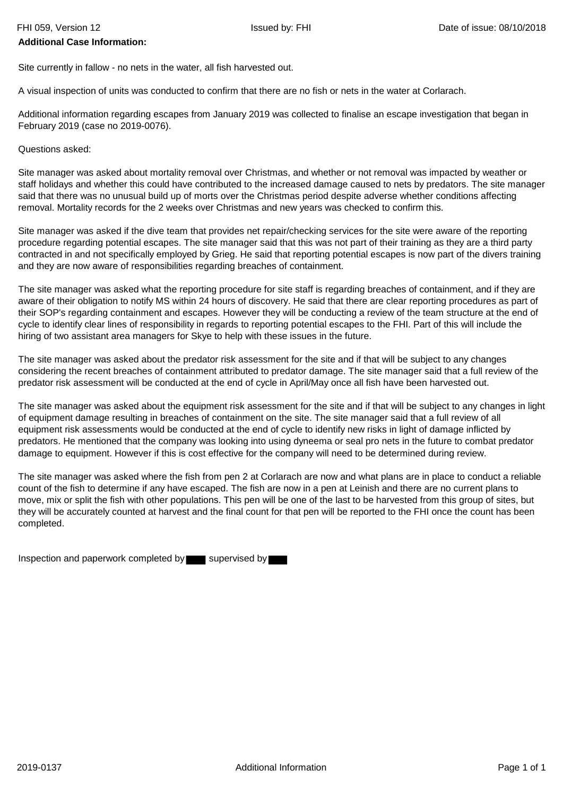## **Additional Case Information:**

Site currently in fallow - no nets in the water, all fish harvested out.

A visual inspection of units was conducted to confirm that there are no fish or nets in the water at Corlarach.

Additional information regarding escapes from January 2019 was collected to finalise an escape investigation that began in February 2019 (case no 2019-0076).

Questions asked:

Site manager was asked about mortality removal over Christmas, and whether or not removal was impacted by weather or staff holidays and whether this could have contributed to the increased damage caused to nets by predators. The site manager said that there was no unusual build up of morts over the Christmas period despite adverse whether conditions affecting removal. Mortality records for the 2 weeks over Christmas and new years was checked to confirm this.

Site manager was asked if the dive team that provides net repair/checking services for the site were aware of the reporting procedure regarding potential escapes. The site manager said that this was not part of their training as they are a third party contracted in and not specifically employed by Grieg. He said that reporting potential escapes is now part of the divers training and they are now aware of responsibilities regarding breaches of containment.

The site manager was asked what the reporting procedure for site staff is regarding breaches of containment, and if they are aware of their obligation to notify MS within 24 hours of discovery. He said that there are clear reporting procedures as part of their SOP's regarding containment and escapes. However they will be conducting a review of the team structure at the end of cycle to identify clear lines of responsibility in regards to reporting potential escapes to the FHI. Part of this will include the hiring of two assistant area managers for Skye to help with these issues in the future.

The site manager was asked about the predator risk assessment for the site and if that will be subject to any changes considering the recent breaches of containment attributed to predator damage. The site manager said that a full review of the predator risk assessment will be conducted at the end of cycle in April/May once all fish have been harvested out.

The site manager was asked about the equipment risk assessment for the site and if that will be subject to any changes in light of equipment damage resulting in breaches of containment on the site. The site manager said that a full review of all equipment risk assessments would be conducted at the end of cycle to identify new risks in light of damage inflicted by predators. He mentioned that the company was looking into using dyneema or seal pro nets in the future to combat predator damage to equipment. However if this is cost effective for the company will need to be determined during review.

The site manager was asked where the fish from pen 2 at Corlarach are now and what plans are in place to conduct a reliable count of the fish to determine if any have escaped. The fish are now in a pen at Leinish and there are no current plans to move, mix or split the fish with other populations. This pen will be one of the last to be harvested from this group of sites, but they will be accurately counted at harvest and the final count for that pen will be reported to the FHI once the count has been completed.

Inspection and paperwork completed by supervised by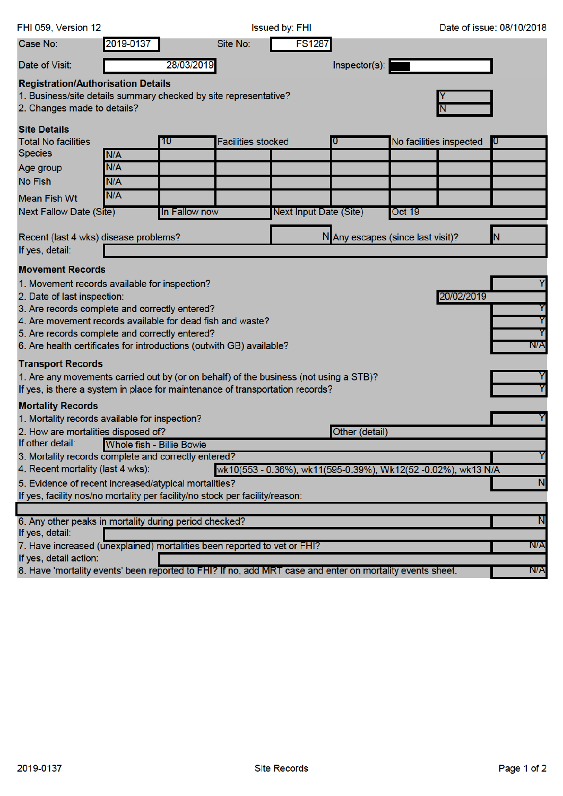| FHI 059, Version 12                                                                                                                          |           |               |                           | <b>Issued by: FHI</b>                                         |                                   |        |                         | Date of issue: 08/10/2018 |
|----------------------------------------------------------------------------------------------------------------------------------------------|-----------|---------------|---------------------------|---------------------------------------------------------------|-----------------------------------|--------|-------------------------|---------------------------|
| Case No:                                                                                                                                     | 2019-0137 |               | Site No:                  | <b>FS1287</b>                                                 |                                   |        |                         |                           |
| Date of Visit:                                                                                                                               |           | 28/03/2019    |                           |                                                               | Inspector(s):                     |        |                         |                           |
| <b>Registration/Authorisation Details</b><br>1. Business/site details summary checked by site representative?<br>2. Changes made to details? |           |               |                           |                                                               |                                   |        |                         |                           |
| <b>Site Details</b>                                                                                                                          |           |               |                           |                                                               |                                   |        |                         |                           |
| <b>Total No facilities</b>                                                                                                                   |           | 10            | <b>Facilities stocked</b> |                                                               |                                   |        | No facilities inspected |                           |
| <b>Species</b>                                                                                                                               | N/A       |               |                           |                                                               |                                   |        |                         |                           |
| Age group                                                                                                                                    | N/A       |               |                           |                                                               |                                   |        |                         |                           |
| <b>No Fish</b>                                                                                                                               | N/A       |               |                           |                                                               |                                   |        |                         |                           |
| <b>Mean Fish Wt</b>                                                                                                                          | N/A       |               |                           |                                                               |                                   |        |                         |                           |
| Next Fallow Date (Site)                                                                                                                      |           | In Fallow now |                           | Next Input Date (Site)                                        |                                   | Oct 19 |                         |                           |
| Recent (last 4 wks) disease problems?<br>If yes, detail:                                                                                     |           |               |                           |                                                               | N Any escapes (since last visit)? |        |                         | N                         |
| <b>Movement Records</b>                                                                                                                      |           |               |                           |                                                               |                                   |        |                         |                           |
| 1. Movement records available for inspection?                                                                                                |           |               |                           |                                                               |                                   |        |                         |                           |
| 2. Date of last inspection:                                                                                                                  |           |               |                           |                                                               |                                   |        | 20/02/2019              |                           |
| 3. Are records complete and correctly entered?                                                                                               |           |               |                           |                                                               |                                   |        |                         |                           |
| 4. Are movement records available for dead fish and waste?                                                                                   |           |               |                           |                                                               |                                   |        |                         | Y                         |
| 5. Are records complete and correctly entered?                                                                                               |           |               |                           |                                                               |                                   |        |                         |                           |
| 6. Are health certificates for introductions (outwith GB) available?                                                                         |           |               |                           |                                                               |                                   |        |                         | N/A                       |
| <b>Transport Records</b>                                                                                                                     |           |               |                           |                                                               |                                   |        |                         |                           |
| 1. Are any movements carried out by (or on behalf) of the business (not using a STB)?                                                        |           |               |                           |                                                               |                                   |        |                         |                           |
| If yes, is there a system in place for maintenance of transportation records?                                                                |           |               |                           |                                                               |                                   |        |                         |                           |
| <b>Mortality Records</b>                                                                                                                     |           |               |                           |                                                               |                                   |        |                         |                           |
| 1. Mortality records available for inspection?                                                                                               |           |               |                           |                                                               |                                   |        |                         |                           |
| 2. How are mortalities disposed of?<br>Other (detail)<br>Whole fish - Billie Bowie                                                           |           |               |                           |                                                               |                                   |        |                         |                           |
| If other detail:<br>3. Mortality records complete and correctly entered?                                                                     |           |               |                           |                                                               |                                   |        |                         | Y                         |
| 4. Recent mortality (last 4 wks):                                                                                                            |           |               |                           | wk10(553 - 0.36%), wk11(595-0.39%), Wk12(52 -0.02%), wk13 N/A |                                   |        |                         |                           |
| 5. Evidence of recent increased/atypical mortalities?                                                                                        |           |               |                           |                                                               |                                   |        |                         | N                         |
| If yes, facility nos/no mortality per facility/no stock per facility/reason:                                                                 |           |               |                           |                                                               |                                   |        |                         |                           |
|                                                                                                                                              |           |               |                           |                                                               |                                   |        |                         |                           |
| 6. Any other peaks in mortality during period checked?<br>If yes, detail:                                                                    |           |               |                           |                                                               |                                   |        |                         | N                         |
| 7. Have increased (unexplained) mortalities been reported to vet or FHI?                                                                     |           |               |                           |                                                               |                                   |        |                         | N/A                       |
| If yes, detail action:                                                                                                                       |           |               |                           |                                                               |                                   |        |                         |                           |
| 8. Have 'mortality events' been reported to FHI? If no, add MRT case and enter on mortality events sheet.                                    |           |               |                           |                                                               |                                   |        |                         | N/A                       |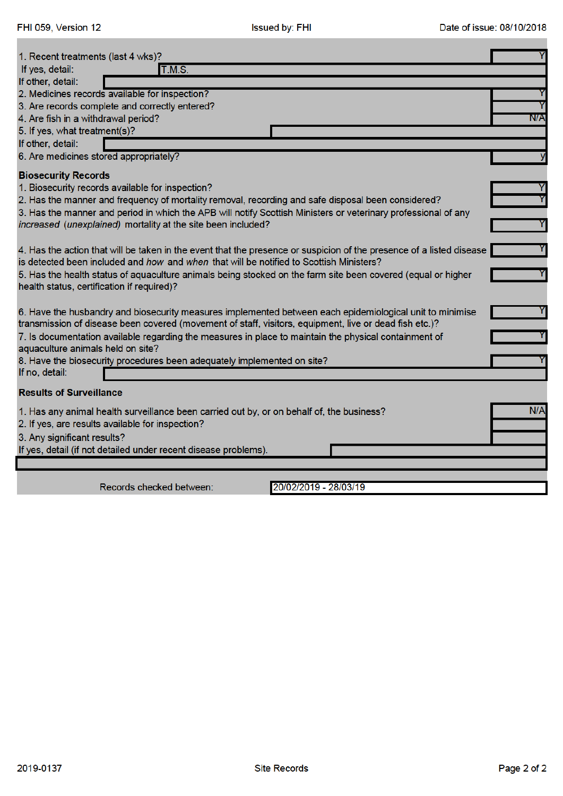| 1. Recent treatments (last 4 wks)?                                                                                   | Y   |
|----------------------------------------------------------------------------------------------------------------------|-----|
| If yes, detail:<br><b>T.M.S.</b>                                                                                     |     |
| If other, detail:                                                                                                    |     |
| 2. Medicines records available for inspection?                                                                       |     |
| 3. Are records complete and correctly entered?                                                                       |     |
| 4. Are fish in a withdrawal period?                                                                                  | N/A |
| 5. If yes, what treatment(s)?                                                                                        |     |
| If other, detail:                                                                                                    |     |
| 6. Are medicines stored appropriately?                                                                               | У   |
| <b>Biosecurity Records</b>                                                                                           |     |
| 1. Biosecurity records available for inspection?                                                                     |     |
| 2. Has the manner and frequency of mortality removal, recording and safe disposal been considered?                   |     |
| 3. Has the manner and period in which the APB will notify Scottish Ministers or veterinary professional of any       |     |
| increased (unexplained) mortality at the site been included?                                                         |     |
|                                                                                                                      |     |
| 4. Has the action that will be taken in the event that the presence or suspicion of the presence of a listed disease |     |
| is detected been included and how and when that will be notified to Scottish Ministers?                              |     |
| 5. Has the health status of aquaculture animals being stocked on the farm site been covered (equal or higher         |     |
| health status, certification if required)?                                                                           |     |
|                                                                                                                      |     |
| 6. Have the husbandry and biosecurity measures implemented between each epidemiological unit to minimise             |     |
| transmission of disease been covered (movement of staff, visitors, equipment, live or dead fish etc.)?               |     |
| 7. Is documentation available regarding the measures in place to maintain the physical containment of                |     |
| aquaculture animals held on site?                                                                                    |     |
| 8. Have the biosecurity procedures been adequately implemented on site?                                              |     |
| If no, detail:                                                                                                       |     |
| <b>Results of Surveillance</b>                                                                                       |     |
| 1. Has any animal health surveillance been carried out by, or on behalf of, the business?                            | N/A |
| 2. If yes, are results available for inspection?                                                                     |     |
| 3. Any significant results?                                                                                          |     |
| If yes, detail (if not detailed under recent disease problems).                                                      |     |
|                                                                                                                      |     |
|                                                                                                                      |     |
|                                                                                                                      |     |

Records checked between:

20/02/2019 - 28/03/19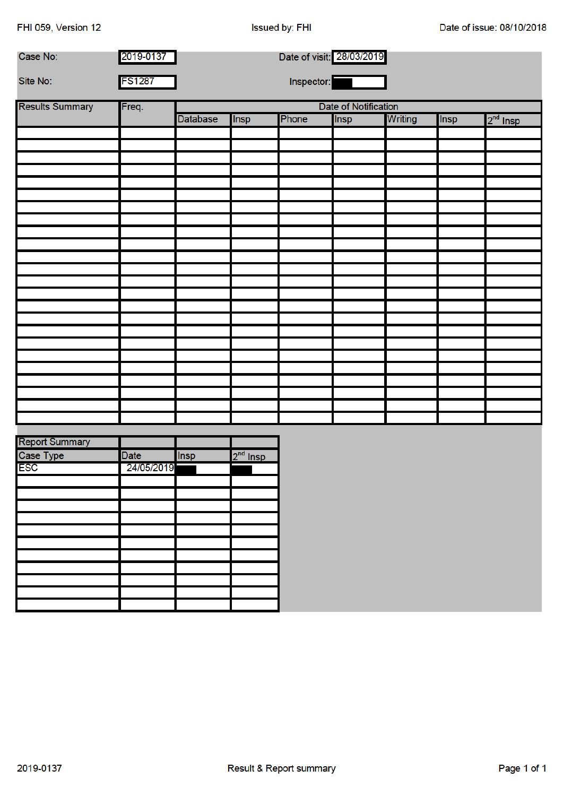FHI 059, Version 12

| Case No:               | 2019-0137     | Date of visit: 28/03/2019 |            |       |      |         |             |            |
|------------------------|---------------|---------------------------|------------|-------|------|---------|-------------|------------|
| Site No:               | <b>FS1287</b> | Inspector:                |            |       |      |         |             |            |
| <b>Results Summary</b> | Freq.         | Date of Notification      |            |       |      |         |             |            |
|                        |               | <b>Database</b>           | Insp       | Phone | Insp | Writing | <b>Insp</b> | $2nd$ Insp |
|                        |               |                           |            |       |      |         |             |            |
|                        |               |                           |            |       |      |         |             |            |
|                        |               |                           |            |       |      |         |             |            |
|                        |               |                           |            |       |      |         |             |            |
|                        |               |                           |            |       |      |         |             |            |
|                        |               |                           |            |       |      |         |             |            |
|                        |               |                           |            |       |      |         |             |            |
|                        |               |                           |            |       |      |         |             |            |
|                        |               |                           |            |       |      |         |             |            |
|                        |               |                           |            |       |      |         |             |            |
|                        |               |                           |            |       |      |         |             |            |
|                        |               |                           |            |       |      |         |             |            |
|                        |               |                           |            |       |      |         |             |            |
|                        |               |                           |            |       |      |         |             |            |
|                        |               |                           |            |       |      |         |             |            |
|                        |               |                           |            |       |      |         |             |            |
|                        |               |                           |            |       |      |         |             |            |
|                        |               |                           |            |       |      |         |             |            |
|                        |               |                           |            |       |      |         |             |            |
|                        |               |                           |            |       |      |         |             |            |
|                        |               |                           |            |       |      |         |             |            |
|                        |               |                           |            |       |      |         |             |            |
|                        |               |                           |            |       |      |         |             |            |
|                        |               |                           |            |       |      |         |             |            |
| <b>Report Summary</b>  |               |                           |            |       |      |         |             |            |
| Case Type              | <b>Date</b>   | Insp                      | $2nd$ Insp |       |      |         |             |            |
| <b>ESC</b>             | 24/05/2019    |                           |            |       |      |         |             |            |
|                        |               |                           |            |       |      |         |             |            |
|                        |               |                           |            |       |      |         |             |            |
|                        |               |                           |            |       |      |         |             |            |